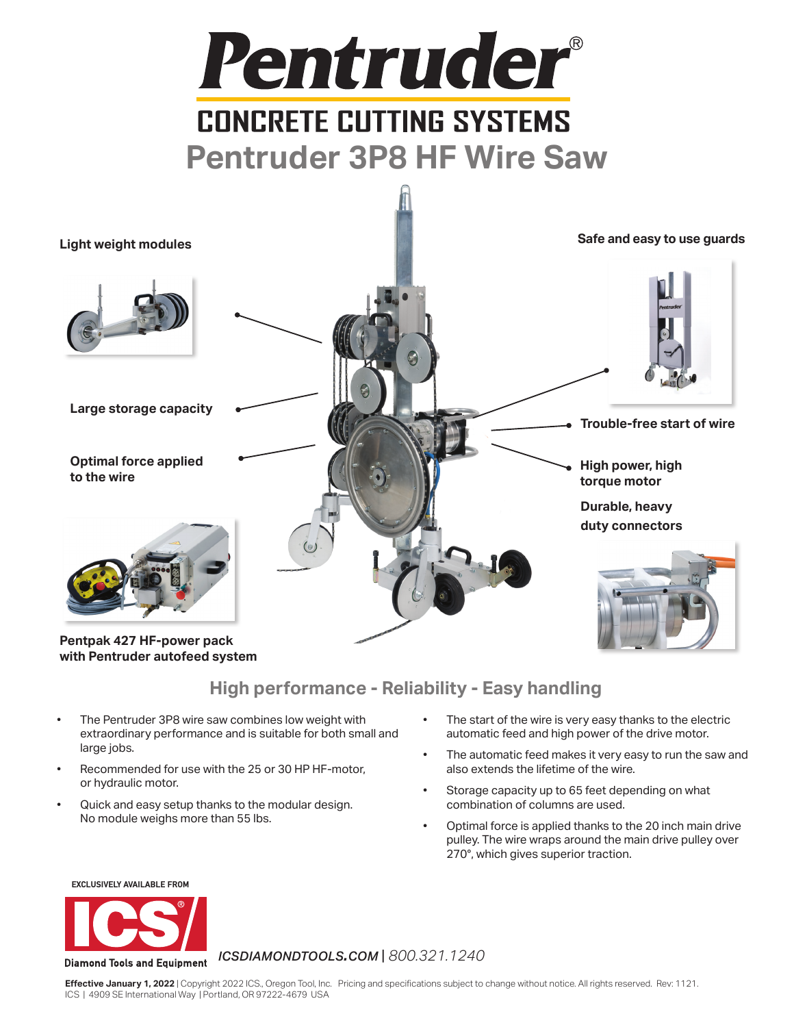



**with Pentruder autofeed system**

# **High performance - Reliability - Easy handling**

- The Pentruder 3P8 wire saw combines low weight with extraordinary performance and is suitable for both small and large jobs.
- Recommended for use with the 25 or 30 HP HF-motor, or hydraulic motor.
- Quick and easy setup thanks to the modular design. No module weighs more than 55 lbs.
- The start of the wire is very easy thanks to the electric automatic feed and high power of the drive motor.
- The automatic feed makes it very easy to run the saw and also extends the lifetime of the wire.
- Storage capacity up to 65 feet depending on what combination of columns are used.
- Optimal force is applied thanks to the 20 inch main drive pulley. The wire wraps around the main drive pulley over 270°, which gives superior traction.

**EXCLUSIVELY AVAILABLE FROM**



### *icsdiamondtools.com* | *800.321.1240*

**Effective January 1, 2022** | Copyright 2022 ICS., Oregon Tool, Inc. Pricing and specifications subject to change without notice. All rights reserved. Rev: 1121. ICS | 4909 SE International Way | Portland, OR 97222-4679 USA